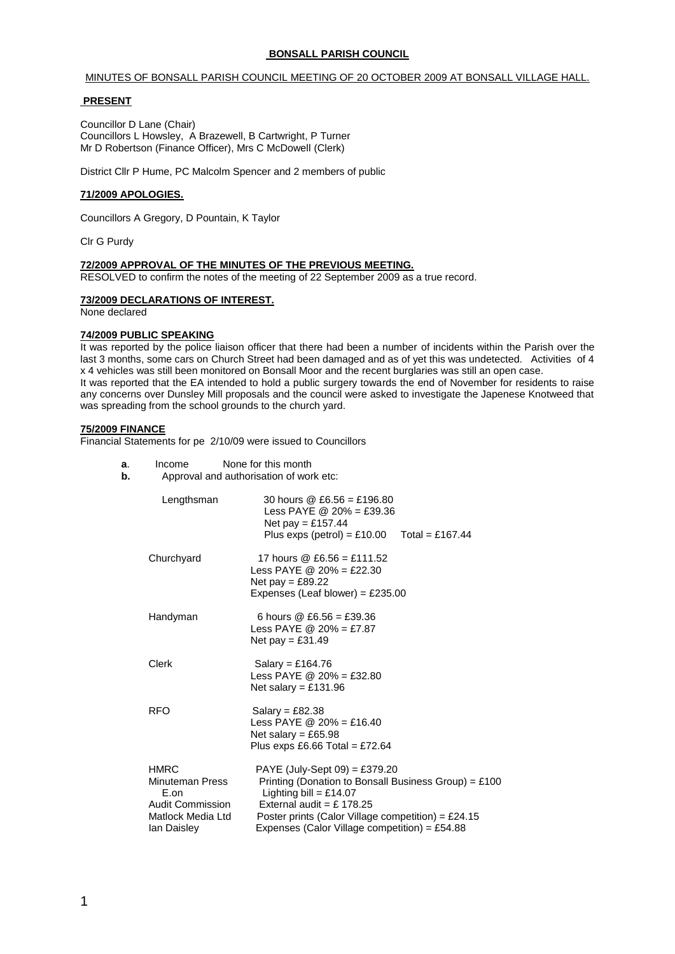## **BONSALL PARISH COUNCIL**

#### MINUTES OF BONSALL PARISH COUNCIL MEETING OF 20 OCTOBER 2009 AT BONSALL VILLAGE HALL.

## **PRESENT**

Councillor D Lane (Chair) Councillors L Howsley, A Brazewell, B Cartwright, P Turner Mr D Robertson (Finance Officer), Mrs C McDowell (Clerk)

District Cllr P Hume, PC Malcolm Spencer and 2 members of public

## **71/2009 APOLOGIES.**

Councillors A Gregory, D Pountain, K Taylor

Clr G Purdy

## **72/2009 APPROVAL OF THE MINUTES OF THE PREVIOUS MEETING.**

RESOLVED to confirm the notes of the meeting of 22 September 2009 as a true record.

## **73/2009 DECLARATIONS OF INTEREST.**

None declared

#### **74/2009 PUBLIC SPEAKING**

It was reported by the police liaison officer that there had been a number of incidents within the Parish over the last 3 months, some cars on Church Street had been damaged and as of yet this was undetected. Activities of 4 x 4 vehicles was still been monitored on Bonsall Moor and the recent burglaries was still an open case. It was reported that the EA intended to hold a public surgery towards the end of November for residents to raise any concerns over Dunsley Mill proposals and the council were asked to investigate the Japenese Knotweed that was spreading from the school grounds to the church yard.

#### **75/2009 FINANCE**

Financial Statements for pe 2/10/09 were issued to Councillors

| a. | Income                                                                                                | None for this month                                                                                                                                                                                                                                     |  |
|----|-------------------------------------------------------------------------------------------------------|---------------------------------------------------------------------------------------------------------------------------------------------------------------------------------------------------------------------------------------------------------|--|
| b. | Approval and authorisation of work etc:                                                               |                                                                                                                                                                                                                                                         |  |
|    | Lengthsman                                                                                            | 30 hours @ £6.56 = £196.80<br>Less PAYE @ $20\% = \text{\pounds}39.36$<br>Net pay = £157.44<br>Plus exps (petrol) = £10.00<br>Total = £167.44                                                                                                           |  |
|    | Churchyard                                                                                            | 17 hours @ £6.56 = £111.52<br>Less PAYE @ $20\% = \text{\pounds}22.30$<br>Net pay = £89.22<br>Expenses (Leaf blower) = £235.00                                                                                                                          |  |
|    | Handyman                                                                                              | 6 hours $@E6.56 = £39.36$<br>Less PAYE @ $20\% = \text{\pounds}7.87$<br>Net pay = £31.49                                                                                                                                                                |  |
|    | Clerk                                                                                                 | Salary = £164.76<br>Less PAYE @ $20% = £32.80$<br>Net salary = £131.96                                                                                                                                                                                  |  |
|    | <b>RFO</b>                                                                                            | $S$ alary = £82.38<br>Less PAYE @ $20\% = \text{\pounds}16.40$<br>Net salary = £65.98<br>Plus exps £6.66 Total = £72.64                                                                                                                                 |  |
|    | <b>HMRC</b><br><b>Minuteman Press</b><br>E.on<br>Audit Commission<br>Matlock Media Ltd<br>lan Daisley | PAYE (July-Sept 09) = £379.20<br>Printing (Donation to Bonsall Business Group) = $£100$<br>Lighting bill = £14.07<br>External audit = £ 178.25<br>Poster prints (Calor Village competition) = $£24.15$<br>Expenses (Calor Village competition) = £54.88 |  |